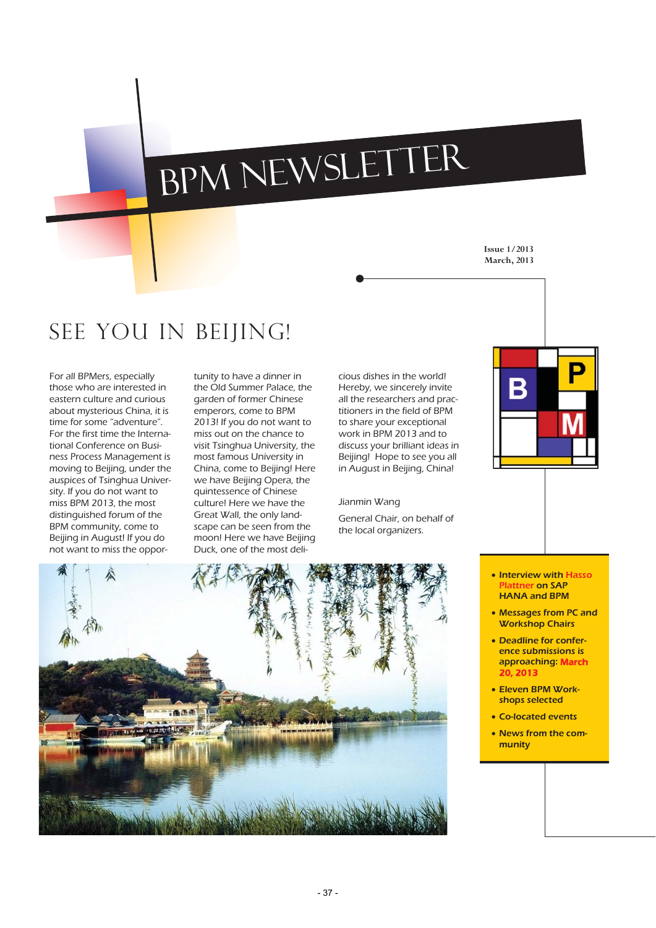# BPM Newsletter

**Issue 1/2013 March, 2013** 

# See you in Beijing!

For all BPMers, especially those who are interested in eastern culture and curious about mysterious China, it is time for some "adventure". For the first time the International Conference on Business Process Management is moving to Beijing, under the auspices of Tsinghua University. If you do not want to miss BPM 2013, the most distinguished forum of the BPM community, come to Beijing in August! If you do not want to miss the opportunity to have a dinner in the Old Summer Palace, the garden of former Chinese emperors, come to BPM 2013! If you do not want to miss out on the chance to visit Tsinghua University, the most famous University in China, come to Beijing! Here we have Beijing Opera, the quintessence of Chinese culture! Here we have the Great Wall, the only landscape can be seen from the moon! Here we have Beijing Duck, one of the most delicious dishes in the world! Hereby, we sincerely invite all the researchers and practitioners in the field of BPM to share your exceptional work in BPM 2013 and to discuss your brilliant ideas in Beijing! Hope to see you all in August in Beijing, China!

#### Jianmin Wang

General Chair, on behalf of the local organizers.



B

- Interview with Hasso Plattner on SAP HANA and BPM
- Messages from PC and Workshop Chairs
- Deadline for conference submissions is approaching: March 20, 2013
- Eleven BPM Workshops selected
- Co-located events
- News from the community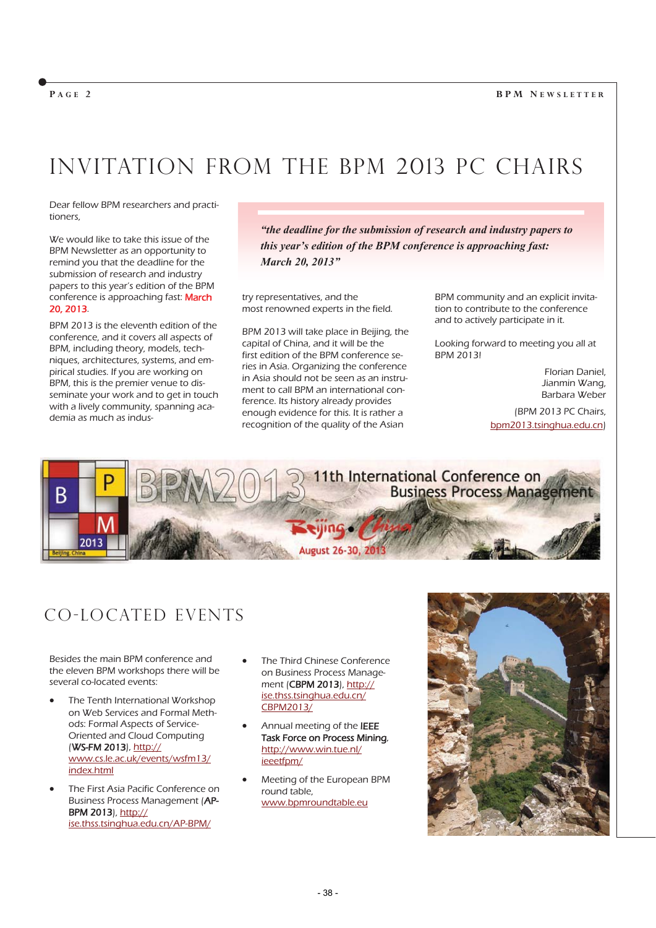#### **BPM N EWSLETTER**

#### **P AGE 2**

# Invitation from the BPM 2013 PC Chairs

Dear fellow BPM researchers and practitioners,

We would like to take this issue of the BPM Newsletter as an opportunity to remind you that the deadline for the submission of research and industry papers to this year's edition of the BPM conference is approaching fast: March 20, 2013.

BPM 2013 is the eleventh edition of the conference, and it covers all aspects of BPM, including theory, models, techniques, architectures, systems, and empirical studies. If you are working on BPM, this is the premier venue to disseminate your work and to get in touch with a lively community, spanning academia as much as indus-

*"the deadline for the submission of research and industry papers to this year's edition of the BPM conference is approaching fast: March 20, 2013"* 

try representatives, and the most renowned experts in the field.

BPM 2013 will take place in Beijing, the capital of China, and it will be the first edition of the BPM conference series in Asia. Organizing the conference in Asia should not be seen as an instrument to call BPM an international conference. Its history already provides enough evidence for this. It is rather a recognition of the quality of the Asian

BPM community and an explicit invitation to contribute to the conference and to actively participate in it.

Looking forward to meeting you all at BPM 2013!

> Florian Daniel, Jianmin Wang, Barbara Weber

(BPM 2013 PC Chairs, bpm2013.tsinghua.edu.cn)



## CO-Located Events

Besides the main BPM conference and the eleven BPM workshops there will be several co-located events:

- The Tenth International Workshop on Web Services and Formal Methods: Formal Aspects of Service-Oriented and Cloud Computing (WS-FM 2013), http:// www.cs.le.ac.uk/events/wsfm13/ index.html
- The First Asia Pacific Conference on Business Process Management (AP-BPM 2013), http:// ise.thss.tsinghua.edu.cn/AP-BPM/
- The Third Chinese Conference on Business Process Management (CBPM 2013), http:// ise.thss.tsinghua.edu.cn/ CBPM2013/
- Annual meeting of the IEEE Task Force on Process Mining, http://www.win.tue.nl/ ieeetfpm/
- x Meeting of the European BPM round table, www.bpmroundtable.eu

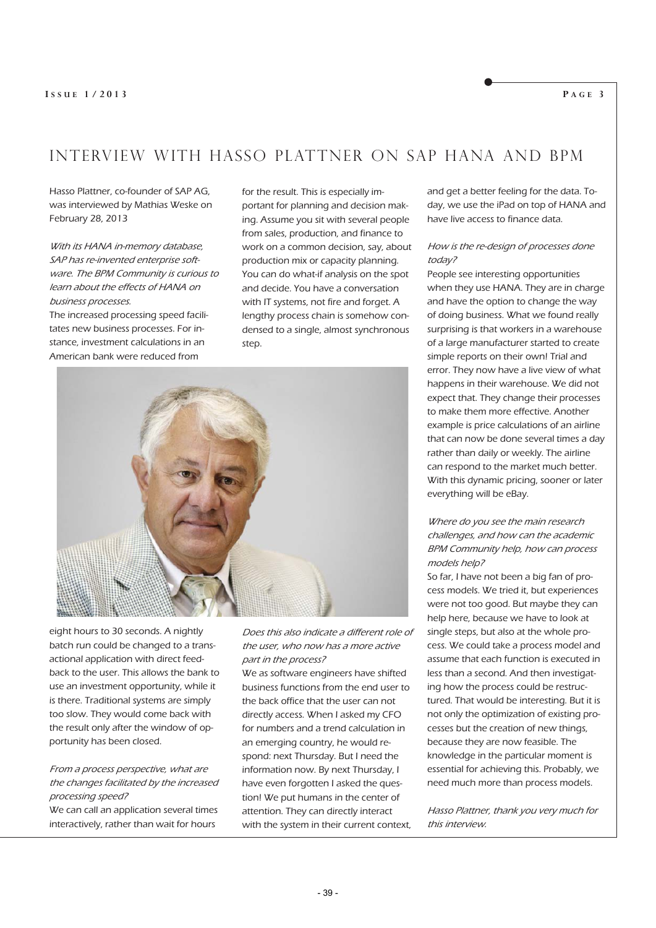### Interview with Hasso Plattner on SAP HANA and BPM

Hasso Plattner, co-founder of SAP AG, was interviewed by Mathias Weske on February 28, 2013

With its HANA in-memory database, SAP has re-invented enterprise software. The BPM Community is curious to learn about the effects of HANA on business processes.

The increased processing speed facilitates new business processes. For instance, investment calculations in an American bank were reduced from

for the result. This is especially important for planning and decision making. Assume you sit with several people from sales, production, and finance to work on a common decision, say, about production mix or capacity planning. You can do what-if analysis on the spot and decide. You have a conversation with IT systems, not fire and forget. A lengthy process chain is somehow condensed to a single, almost synchronous step.



eight hours to 30 seconds. A nightly batch run could be changed to a transactional application with direct feedback to the user. This allows the bank to use an investment opportunity, while it is there. Traditional systems are simply too slow. They would come back with the result only after the window of opportunity has been closed.

#### From a process perspective, what are the changes facilitated by the increased processing speed?

We can call an application several times interactively, rather than wait for hours

Does this also indicate a different role of the user, who now has a more active part in the process?

We as software engineers have shifted business functions from the end user to the back office that the user can not directly access. When I asked my CFO for numbers and a trend calculation in an emerging country, he would respond: next Thursday. But I need the information now. By next Thursday, I have even forgotten I asked the question! We put humans in the center of attention. They can directly interact with the system in their current context,

and get a better feeling for the data. Today, we use the iPad on top of HANA and have live access to finance data.

#### How is the re-design of processes done today?

People see interesting opportunities when they use HANA. They are in charge and have the option to change the way of doing business. What we found really surprising is that workers in a warehouse of a large manufacturer started to create simple reports on their own! Trial and error. They now have a live view of what happens in their warehouse. We did not expect that. They change their processes to make them more effective. Another example is price calculations of an airline that can now be done several times a day rather than daily or weekly. The airline can respond to the market much better. With this dynamic pricing, sooner or later everything will be eBay.

#### Where do you see the main research challenges, and how can the academic BPM Community help, how can process models help?

So far, I have not been a big fan of process models. We tried it, but experiences were not too good. But maybe they can help here, because we have to look at single steps, but also at the whole process. We could take a process model and assume that each function is executed in less than a second. And then investigating how the process could be restructured. That would be interesting. But it is not only the optimization of existing processes but the creation of new things, because they are now feasible. The knowledge in the particular moment is essential for achieving this. Probably, we need much more than process models.

Hasso Plattner, thank you very much for this interview.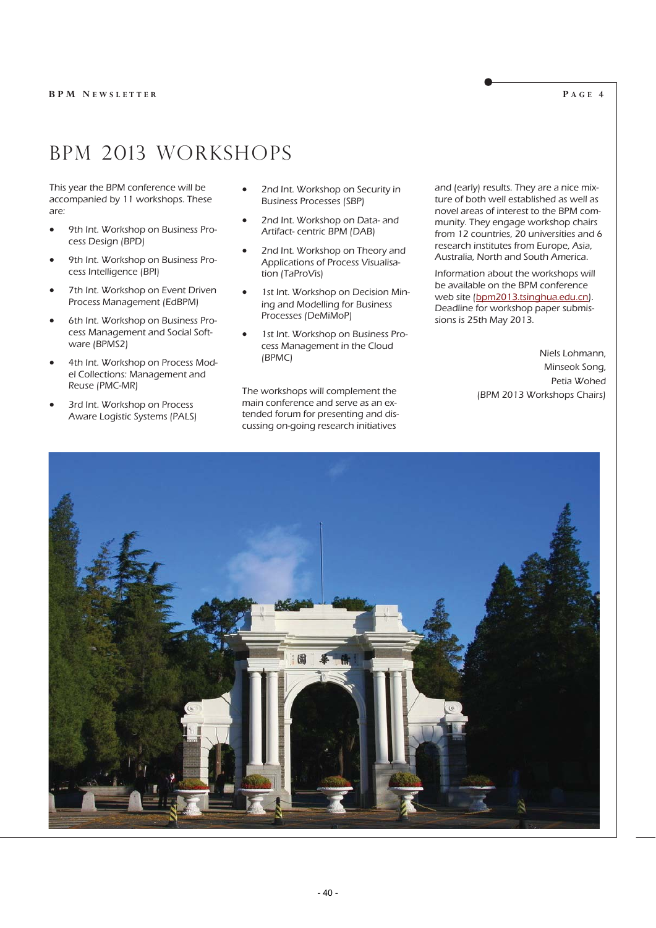## BPM 2013 Workshops

This year the BPM conference will be accompanied by 11 workshops. These are:

- 9th Int. Workshop on Business Process Design (BPD)
- 9th Int. Workshop on Business Process Intelligence (BPI)
- 7th Int. Workshop on Event Driven Process Management (EdBPM)
- 6th Int. Workshop on Business Process Management and Social Software (BPMS2)
- 4th Int. Workshop on Process Model Collections: Management and Reuse (PMC-MR)
- 3rd Int. Workshop on Process Aware Logistic Systems (PALS)
- 2nd Int. Workshop on Security in Business Processes (SBP)
- 2nd Int. Workshop on Data- and Artifact- centric BPM (DAB)
- 2nd Int. Workshop on Theory and Applications of Process Visualisation (TaProVis)
- 1st Int. Workshop on Decision Mining and Modelling for Business Processes (DeMiMoP)
- 1st Int. Workshop on Business Process Management in the Cloud (BPMC)

The workshops will complement the main conference and serve as an extended forum for presenting and discussing on-going research initiatives

and (early) results. They are a nice mixture of both well established as well as novel areas of interest to the BPM community. They engage workshop chairs from 12 countries, 20 universities and 6 research institutes from Europe, Asia, Australia, North and South America.

Information about the workshops will be available on the BPM conference web site (bpm2013.tsinghua.edu.cn). Deadline for workshop paper submissions is 25th May 2013.

> Niels Lohmann, Minseok Song, Petia Wohed (BPM 2013 Workshops Chairs)